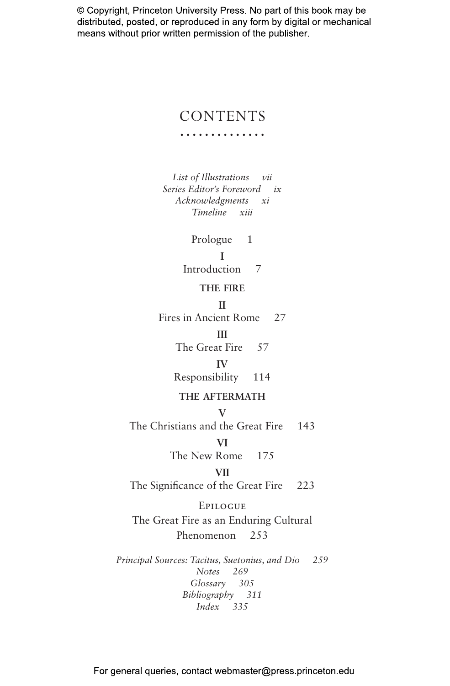# CONTENTS . . . . . . . . . . . .

*List of Illustrations vii Series Editor's Foreword ix Acknowledgments xi*

*Timeline xiii*

Prologue 1

## **I**

Introduction 7

## **the fire**

**II**

Fires in Ancient Rome 27

**III**

The Great Fire 57

# **IV**

Responsibility 114

## **the aftermath**

**V**

The Christians and the Great Fire 143

**VI**

The New Rome 175

# **VII**

The Significance of the Great Fire 223

## Epilogue

The Great Fire as an Enduring Cultural Phenomenon 253

*Principal Sources: Tacitus, Suetonius, and Dio 259 Notes 269 Glossary 305 Bibliography 311 Index 335*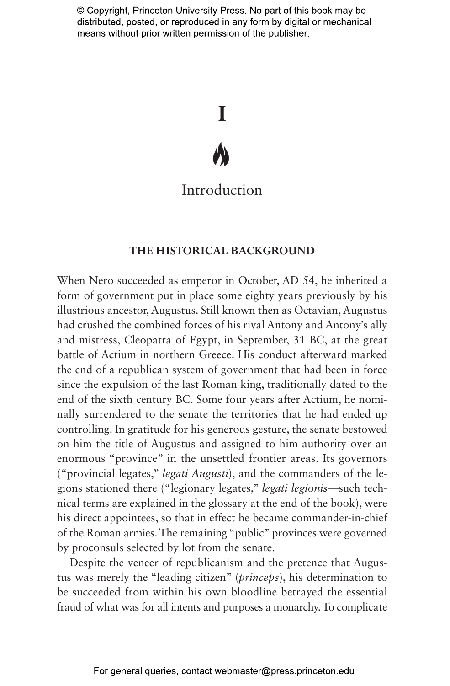# **I**

# Introduction

## **THE HISTORICAL BACKGROUND**

When Nero succeeded as emperor in October, AD 54, he inherited a form of government put in place some eighty years previously by his illustrious ancestor, Augustus. Still known then as Octavian, Augustus had crushed the combined forces of his rival Antony and Antony's ally and mistress, Cleopatra of Egypt, in September, 31 BC, at the great battle of Actium in northern Greece. His conduct afterward marked the end of a republican system of government that had been in force since the expulsion of the last Roman king, traditionally dated to the end of the sixth century BC. Some four years after Actium, he nominally surrendered to the senate the territories that he had ended up controlling. In gratitude for his generous gesture, the senate bestowed on him the title of Augustus and assigned to him authority over an enormous "province" in the unsettled frontier areas. Its governors ("provincial legates," *legati Augusti*), and the commanders of the legions stationed there ("legionary legates," *legati legionis*—such technical terms are explained in the glossary at the end of the book), were his direct appointees, so that in effect he became commander-in-chief of the Roman armies. The remaining "public" provinces were governed by proconsuls selected by lot from the senate.

Despite the veneer of republicanism and the pretence that Augustus was merely the "leading citizen" (*princeps*), his determination to be succeeded from within his own bloodline betrayed the essential fraud of what was for all intents and purposes a monarchy. To complicate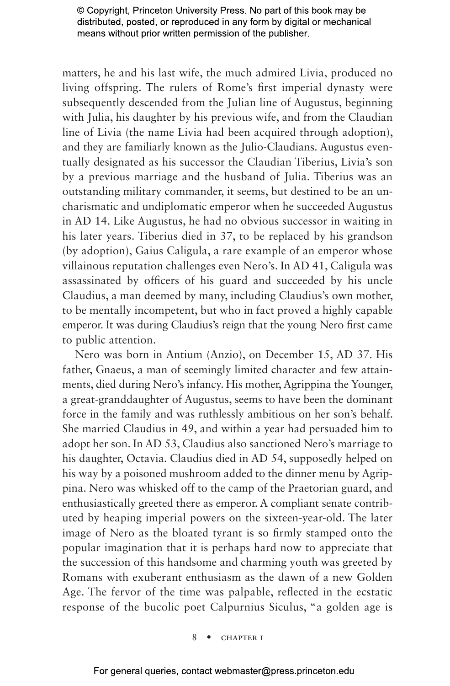matters, he and his last wife, the much admired Livia, produced no living offspring. The rulers of Rome's first imperial dynasty were subsequently descended from the Julian line of Augustus, beginning with Julia, his daughter by his previous wife, and from the Claudian line of Livia (the name Livia had been acquired through adoption), and they are familiarly known as the Julio-Claudians. Augustus eventually designated as his successor the Claudian Tiberius, Livia's son by a previous marriage and the husband of Julia. Tiberius was an outstanding military commander, it seems, but destined to be an uncharismatic and undiplomatic emperor when he succeeded Augustus in AD 14. Like Augustus, he had no obvious successor in waiting in his later years. Tiberius died in 37, to be replaced by his grandson (by adoption), Gaius Caligula, a rare example of an emperor whose villainous reputation challenges even Nero's. In AD 41, Caligula was assassinated by officers of his guard and succeeded by his uncle Claudius, a man deemed by many, including Claudius's own mother, to be mentally incompetent, but who in fact proved a highly capable emperor. It was during Claudius's reign that the young Nero first came to public attention.

Nero was born in Antium (Anzio), on December 15, AD 37. His father, Gnaeus, a man of seemingly limited character and few attainments, died during Nero's infancy. His mother, Agrippina the Younger, a great-granddaughter of Augustus, seems to have been the dominant force in the family and was ruthlessly ambitious on her son's behalf. She married Claudius in 49, and within a year had persuaded him to adopt her son. In AD 53, Claudius also sanctioned Nero's marriage to his daughter, Octavia. Claudius died in AD 54, supposedly helped on his way by a poisoned mushroom added to the dinner menu by Agrippina. Nero was whisked off to the camp of the Praetorian guard, and enthusiastically greeted there as emperor. A compliant senate contributed by heaping imperial powers on the sixteen-year-old. The later image of Nero as the bloated tyrant is so firmly stamped onto the popular imagination that it is perhaps hard now to appreciate that the succession of this handsome and charming youth was greeted by Romans with exuberant enthusiasm as the dawn of a new Golden Age. The fervor of the time was palpable, reflected in the ecstatic response of the bucolic poet Calpurnius Siculus, "a golden age is

8 • CHAPTER I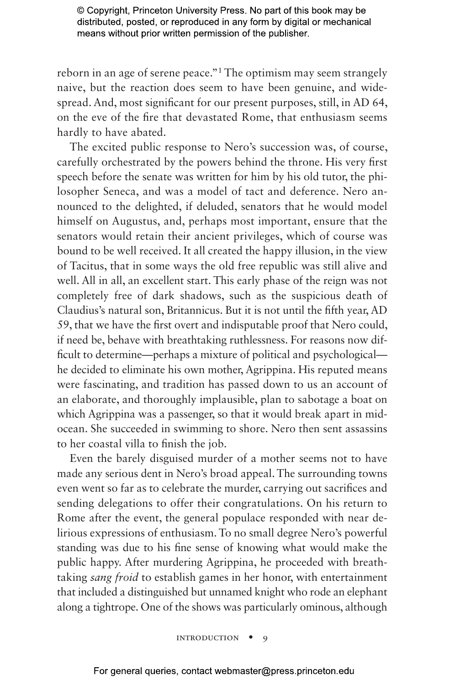reborn in an age of serene peace."<sup>1</sup> The optimism may seem strangely naive, but the reaction does seem to have been genuine, and widespread. And, most significant for our present purposes, still, in AD 64, on the eve of the fire that devastated Rome, that enthusiasm seems hardly to have abated.

The excited public response to Nero's succession was, of course, carefully orchestrated by the powers behind the throne. His very first speech before the senate was written for him by his old tutor, the philosopher Seneca, and was a model of tact and deference. Nero announced to the delighted, if deluded, senators that he would model himself on Augustus, and, perhaps most important, ensure that the senators would retain their ancient privileges, which of course was bound to be well received. It all created the happy illusion, in the view of Tacitus, that in some ways the old free republic was still alive and well. All in all, an excellent start. This early phase of the reign was not completely free of dark shadows, such as the suspicious death of Claudius's natural son, Britannicus. But it is not until the fifth year, AD 59, that we have the first overt and indisputable proof that Nero could, if need be, behave with breathtaking ruthlessness. For reasons now difficult to determine—perhaps a mixture of political and psychological he decided to eliminate his own mother, Agrippina. His reputed means were fascinating, and tradition has passed down to us an account of an elaborate, and thoroughly implausible, plan to sabotage a boat on which Agrippina was a passenger, so that it would break apart in midocean. She succeeded in swimming to shore. Nero then sent assassins to her coastal villa to finish the job.

Even the barely disguised murder of a mother seems not to have made any serious dent in Nero's broad appeal. The surrounding towns even went so far as to celebrate the murder, carrying out sacrifices and sending delegations to offer their congratulations. On his return to Rome after the event, the general populace responded with near delirious expressions of enthusiasm. To no small degree Nero's powerful standing was due to his fine sense of knowing what would make the public happy. After murdering Agrippina, he proceeded with breathtaking *sang froid* to establish games in her honor, with entertainment that included a distinguished but unnamed knight who rode an elephant along a tightrope. One of the shows was particularly ominous, although

INTRODUCTION • 9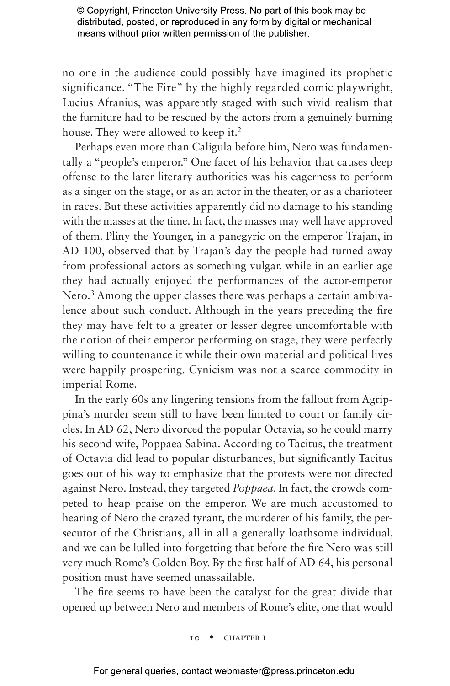no one in the audience could possibly have imagined its prophetic significance. "The Fire" by the highly regarded comic playwright, Lucius Afranius, was apparently staged with such vivid realism that the furniture had to be rescued by the actors from a genuinely burning house. They were allowed to keep it.<sup>2</sup>

Perhaps even more than Caligula before him, Nero was fundamentally a "people's emperor." One facet of his behavior that causes deep offense to the later literary authorities was his eagerness to perform as a singer on the stage, or as an actor in the theater, or as a charioteer in races. But these activities apparently did no damage to his standing with the masses at the time. In fact, the masses may well have approved of them. Pliny the Younger, in a panegyric on the emperor Trajan, in AD 100, observed that by Trajan's day the people had turned away from professional actors as something vulgar, while in an earlier age they had actually enjoyed the performances of the actor-emperor Nero.<sup>3</sup> Among the upper classes there was perhaps a certain ambivalence about such conduct. Although in the years preceding the fire they may have felt to a greater or lesser degree uncomfortable with the notion of their emperor performing on stage, they were perfectly willing to countenance it while their own material and political lives were happily prospering. Cynicism was not a scarce commodity in imperial Rome.

In the early 60s any lingering tensions from the fallout from Agrippina's murder seem still to have been limited to court or family circles. In AD 62, Nero divorced the popular Octavia, so he could marry his second wife, Poppaea Sabina. According to Tacitus, the treatment of Octavia did lead to popular disturbances, but significantly Tacitus goes out of his way to emphasize that the protests were not directed against Nero. Instead, they targeted *Poppaea*. In fact, the crowds competed to heap praise on the emperor. We are much accustomed to hearing of Nero the crazed tyrant, the murderer of his family, the persecutor of the Christians, all in all a generally loathsome individual, and we can be lulled into forgetting that before the fire Nero was still very much Rome's Golden Boy. By the first half of AD 64, his personal position must have seemed unassailable.

The fire seems to have been the catalyst for the great divide that opened up between Nero and members of Rome's elite, one that would

10 • chapter I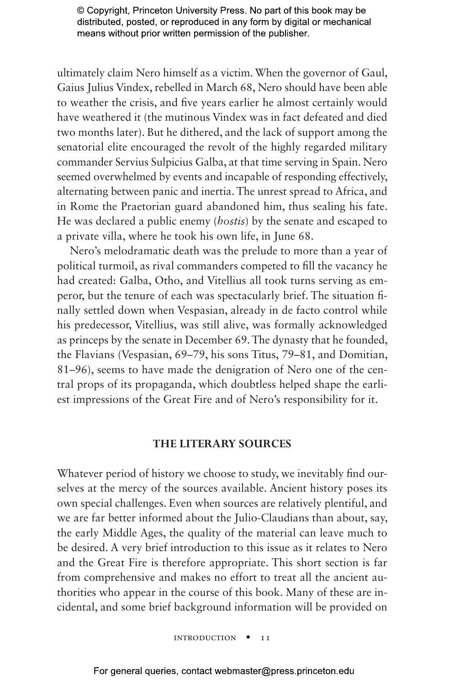ultimately claim Nero himself as a victim. When the governor of Gaul, Gaius Julius Vindex, rebelled in March 68, Nero should have been able to weather the crisis, and five years earlier he almost certainly would have weathered it (the mutinous Vindex was in fact defeated and died two months later). But he dithered, and the lack of support among the senatorial elite encouraged the revolt of the highly regarded military commander Servius Sulpicius Galba, at that time serving in Spain. Nero seemed overwhelmed by events and incapable of responding effectively, alternating between panic and inertia. The unrest spread to Africa, and in Rome the Praetorian guard abandoned him, thus sealing his fate. He was declared a public enemy (*hostis*) by the senate and escaped to a private villa, where he took his own life, in June 68.

Nero's melodramatic death was the prelude to more than a year of political turmoil, as rival commanders competed to fill the vacancy he had created: Galba, Otho, and Vitellius all took turns serving as emperor, but the tenure of each was spectacularly brief. The situation finally settled down when Vespasian, already in de facto control while his predecessor, Vitellius, was still alive, was formally acknowledged as princeps by the senate in December 69. The dynasty that he founded, the Flavians (Vespasian, 69–79, his sons Titus, 79–81, and Domitian, 81–96), seems to have made the denigration of Nero one of the central props of its propaganda, which doubtless helped shape the earliest impressions of the Great Fire and of Nero's responsibility for it.

## **THE LITERARY SOURCES**

Whatever period of history we choose to study, we inevitably find ourselves at the mercy of the sources available. Ancient history poses its own special challenges. Even when sources are relatively plentiful, and we are far better informed about the Julio-Claudians than about, say, the early Middle Ages, the quality of the material can leave much to be desired. A very brief introduction to this issue as it relates to Nero and the Great Fire is therefore appropriate. This short section is far from comprehensive and makes no effort to treat all the ancient authorities who appear in the course of this book. Many of these are incidental, and some brief background information will be provided on

Introduction • 11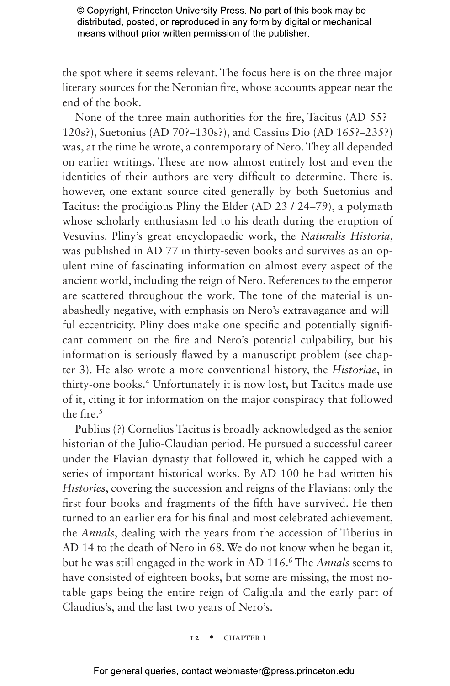the spot where it seems relevant. The focus here is on the three major literary sources for the Neronian fire, whose accounts appear near the end of the book.

None of the three main authorities for the fire, Tacitus (AD 55?– 120s?), Suetonius (AD 70?–130s?), and Cassius Dio (AD 165?–235?) was, at the time he wrote, a contemporary of Nero. They all depended on earlier writings. These are now almost entirely lost and even the identities of their authors are very difficult to determine. There is, however, one extant source cited generally by both Suetonius and Tacitus: the prodigious Pliny the Elder (AD 23 / 24–79), a polymath whose scholarly enthusiasm led to his death during the eruption of Vesuvius. Pliny's great encyclopaedic work, the *Naturalis Historia*, was published in AD 77 in thirty-seven books and survives as an opulent mine of fascinating information on almost every aspect of the ancient world, including the reign of Nero. References to the emperor are scattered throughout the work. The tone of the material is unabashedly negative, with emphasis on Nero's extravagance and willful eccentricity. Pliny does make one specific and potentially significant comment on the fire and Nero's potential culpability, but his information is seriously flawed by a manuscript problem (see chapter 3). He also wrote a more conventional history, the *Historiae*, in thirty-one books.4 Unfortunately it is now lost, but Tacitus made use of it, citing it for information on the major conspiracy that followed the fire. $5$ 

Publius (?) Cornelius Tacitus is broadly acknowledged as the senior historian of the Julio-Claudian period. He pursued a successful career under the Flavian dynasty that followed it, which he capped with a series of important historical works. By AD 100 he had written his *Histories*, covering the succession and reigns of the Flavians: only the first four books and fragments of the fifth have survived. He then turned to an earlier era for his final and most celebrated achievement, the *Annals*, dealing with the years from the accession of Tiberius in AD 14 to the death of Nero in 68. We do not know when he began it, but he was still engaged in the work in AD 116.6 The *Annals* seems to have consisted of eighteen books, but some are missing, the most notable gaps being the entire reign of Caligula and the early part of Claudius's, and the last two years of Nero's.

12 • chapter I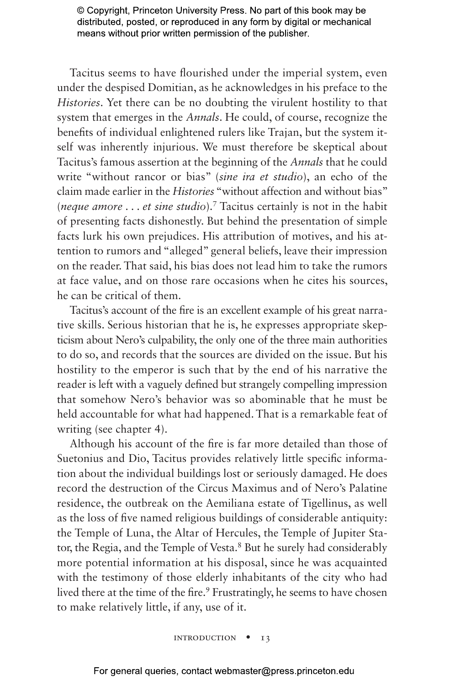Tacitus seems to have flourished under the imperial system, even under the despised Domitian, as he acknowledges in his preface to the *Histories*. Yet there can be no doubting the virulent hostility to that system that emerges in the *Annals*. He could, of course, recognize the benefits of individual enlightened rulers like Trajan, but the system itself was inherently injurious. We must therefore be skeptical about Tacitus's famous assertion at the beginning of the *Annals* that he could write "without rancor or bias" (*sine ira et studio*), an echo of the claim made earlier in the *Histories* "without affection and without bias" (*neque amore . . . et sine studio*).7 Tacitus certainly is not in the habit of presenting facts dishonestly. But behind the presentation of simple facts lurk his own prejudices. His attribution of motives, and his attention to rumors and "alleged" general beliefs, leave their impression on the reader. That said, his bias does not lead him to take the rumors at face value, and on those rare occasions when he cites his sources, he can be critical of them.

Tacitus's account of the fire is an excellent example of his great narrative skills. Serious historian that he is, he expresses appropriate skepticism about Nero's culpability, the only one of the three main authorities to do so, and records that the sources are divided on the issue. But his hostility to the emperor is such that by the end of his narrative the reader is left with a vaguely defined but strangely compelling impression that somehow Nero's behavior was so abominable that he must be held accountable for what had happened. That is a remarkable feat of writing (see chapter 4).

Although his account of the fire is far more detailed than those of Suetonius and Dio, Tacitus provides relatively little specific information about the individual buildings lost or seriously damaged. He does record the destruction of the Circus Maximus and of Nero's Palatine residence, the outbreak on the Aemiliana estate of Tigellinus, as well as the loss of five named religious buildings of considerable antiquity: the Temple of Luna, the Altar of Hercules, the Temple of Jupiter Stator, the Regia, and the Temple of Vesta.<sup>8</sup> But he surely had considerably more potential information at his disposal, since he was acquainted with the testimony of those elderly inhabitants of the city who had lived there at the time of the fire.<sup>9</sup> Frustratingly, he seems to have chosen to make relatively little, if any, use of it.

INTRODUCTION • 13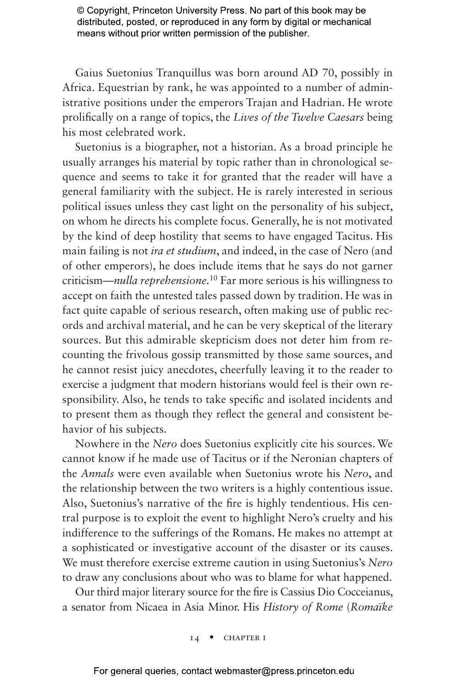Gaius Suetonius Tranquillus was born around AD 70, possibly in Africa. Equestrian by rank, he was appointed to a number of administrative positions under the emperors Trajan and Hadrian. He wrote prolifically on a range of topics, the *Lives of the Twelve Caesars* being his most celebrated work.

Suetonius is a biographer, not a historian. As a broad principle he usually arranges his material by topic rather than in chronological sequence and seems to take it for granted that the reader will have a general familiarity with the subject. He is rarely interested in serious political issues unless they cast light on the personality of his subject, on whom he directs his complete focus. Generally, he is not motivated by the kind of deep hostility that seems to have engaged Tacitus. His main failing is not *ira et studium*, and indeed, in the case of Nero (and of other emperors), he does include items that he says do not garner criticism—*nulla reprehensione.*10 Far more serious is his willingness to accept on faith the untested tales passed down by tradition. He was in fact quite capable of serious research, often making use of public records and archival material, and he can be very skeptical of the literary sources. But this admirable skepticism does not deter him from recounting the frivolous gossip transmitted by those same sources, and he cannot resist juicy anecdotes, cheerfully leaving it to the reader to exercise a judgment that modern historians would feel is their own responsibility. Also, he tends to take specific and isolated incidents and to present them as though they reflect the general and consistent behavior of his subjects.

Nowhere in the *Nero* does Suetonius explicitly cite his sources. We cannot know if he made use of Tacitus or if the Neronian chapters of the *Annals* were even available when Suetonius wrote his *Nero*, and the relationship between the two writers is a highly contentious issue. Also, Suetonius's narrative of the fire is highly tendentious. His central purpose is to exploit the event to highlight Nero's cruelty and his indifference to the sufferings of the Romans. He makes no attempt at a sophisticated or investigative account of the disaster or its causes. We must therefore exercise extreme caution in using Suetonius's *Nero* to draw any conclusions about who was to blame for what happened.

Our third major literary source for the fire is Cassius Dio Cocceianus, a senator from Nicaea in Asia Minor. His *History of Rome* (*Romaïke* 

14 • chapter I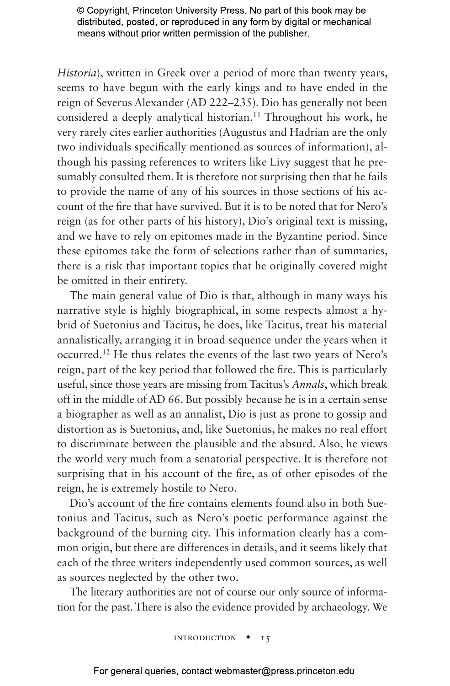*Historia*), written in Greek over a period of more than twenty years, seems to have begun with the early kings and to have ended in the reign of Severus Alexander (AD 222–235). Dio has generally not been considered a deeply analytical historian.<sup>11</sup> Throughout his work, he very rarely cites earlier authorities (Augustus and Hadrian are the only two individuals specifically mentioned as sources of information), although his passing references to writers like Livy suggest that he presumably consulted them. It is therefore not surprising then that he fails to provide the name of any of his sources in those sections of his account of the fire that have survived. But it is to be noted that for Nero's reign (as for other parts of his history), Dio's original text is missing, and we have to rely on epitomes made in the Byzantine period. Since these epitomes take the form of selections rather than of summaries, there is a risk that important topics that he originally covered might be omitted in their entirety.

The main general value of Dio is that, although in many ways his narrative style is highly biographical, in some respects almost a hybrid of Suetonius and Tacitus, he does, like Tacitus, treat his material annalistically, arranging it in broad sequence under the years when it occurred.12 He thus relates the events of the last two years of Nero's reign, part of the key period that followed the fire. This is particularly useful, since those years are missing from Tacitus's *Annals*, which break off in the middle of AD 66. But possibly because he is in a certain sense a biographer as well as an annalist, Dio is just as prone to gossip and distortion as is Suetonius, and, like Suetonius, he makes no real effort to discriminate between the plausible and the absurd. Also, he views the world very much from a senatorial perspective. It is therefore not surprising that in his account of the fire, as of other episodes of the reign, he is extremely hostile to Nero.

Dio's account of the fire contains elements found also in both Suetonius and Tacitus, such as Nero's poetic performance against the background of the burning city. This information clearly has a common origin, but there are differences in details, and it seems likely that each of the three writers independently used common sources, as well as sources neglected by the other two.

The literary authorities are not of course our only source of information for the past. There is also the evidence provided by archaeology. We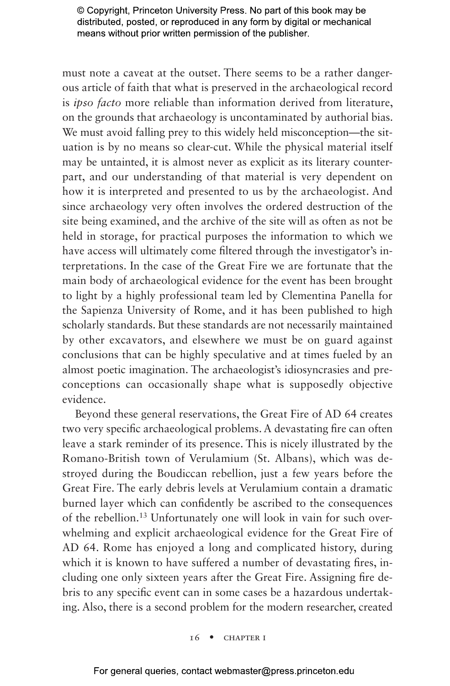must note a caveat at the outset. There seems to be a rather dangerous article of faith that what is preserved in the archaeological record is *ipso facto* more reliable than information derived from literature, on the grounds that archaeology is uncontaminated by authorial bias. We must avoid falling prey to this widely held misconception—the situation is by no means so clear-cut. While the physical material itself may be untainted, it is almost never as explicit as its literary counterpart, and our understanding of that material is very dependent on how it is interpreted and presented to us by the archaeologist. And since archaeology very often involves the ordered destruction of the site being examined, and the archive of the site will as often as not be held in storage, for practical purposes the information to which we have access will ultimately come filtered through the investigator's interpretations. In the case of the Great Fire we are fortunate that the main body of archaeological evidence for the event has been brought to light by a highly professional team led by Clementina Panella for the Sapienza University of Rome, and it has been published to high scholarly standards. But these standards are not necessarily maintained by other excavators, and elsewhere we must be on guard against conclusions that can be highly speculative and at times fueled by an almost poetic imagination. The archaeologist's idiosyncrasies and preconceptions can occasionally shape what is supposedly objective evidence.

Beyond these general reservations, the Great Fire of AD 64 creates two very specific archaeological problems. A devastating fire can often leave a stark reminder of its presence. This is nicely illustrated by the Romano-British town of Verulamium (St. Albans), which was destroyed during the Boudiccan rebellion, just a few years before the Great Fire. The early debris levels at Verulamium contain a dramatic burned layer which can confidently be ascribed to the consequences of the rebellion.13 Unfortunately one will look in vain for such overwhelming and explicit archaeological evidence for the Great Fire of AD 64. Rome has enjoyed a long and complicated history, during which it is known to have suffered a number of devastating fires, including one only sixteen years after the Great Fire. Assigning fire debris to any specific event can in some cases be a hazardous undertaking. Also, there is a second problem for the modern researcher, created

16 • chapter I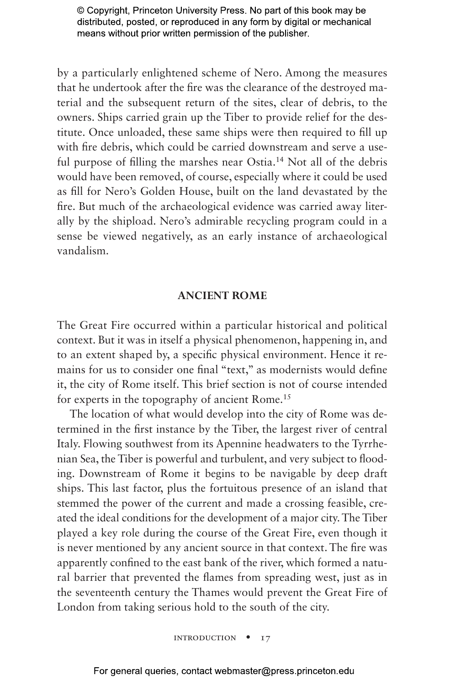by a particularly enlightened scheme of Nero. Among the measures that he undertook after the fire was the clearance of the destroyed material and the subsequent return of the sites, clear of debris, to the owners. Ships carried grain up the Tiber to provide relief for the destitute. Once unloaded, these same ships were then required to fill up with fire debris, which could be carried downstream and serve a useful purpose of filling the marshes near Ostia.<sup>14</sup> Not all of the debris would have been removed, of course, especially where it could be used as fill for Nero's Golden House, built on the land devastated by the fire. But much of the archaeological evidence was carried away literally by the shipload. Nero's admirable recycling program could in a sense be viewed negatively, as an early instance of archaeological vandalism.

## **ANCIENT ROME**

The Great Fire occurred within a particular historical and political context. But it was in itself a physical phenomenon, happening in, and to an extent shaped by, a specific physical environment. Hence it remains for us to consider one final "text," as modernists would define it, the city of Rome itself. This brief section is not of course intended for experts in the topography of ancient Rome.15

The location of what would develop into the city of Rome was determined in the first instance by the Tiber, the largest river of central Italy. Flowing southwest from its Apennine headwaters to the Tyrrhenian Sea, the Tiber is powerful and turbulent, and very subject to flooding. Downstream of Rome it begins to be navigable by deep draft ships. This last factor, plus the fortuitous presence of an island that stemmed the power of the current and made a crossing feasible, created the ideal conditions for the development of a major city. The Tiber played a key role during the course of the Great Fire, even though it is never mentioned by any ancient source in that context. The fire was apparently confined to the east bank of the river, which formed a natural barrier that prevented the flames from spreading west, just as in the seventeenth century the Thames would prevent the Great Fire of London from taking serious hold to the south of the city.

INTRODUCTION • 17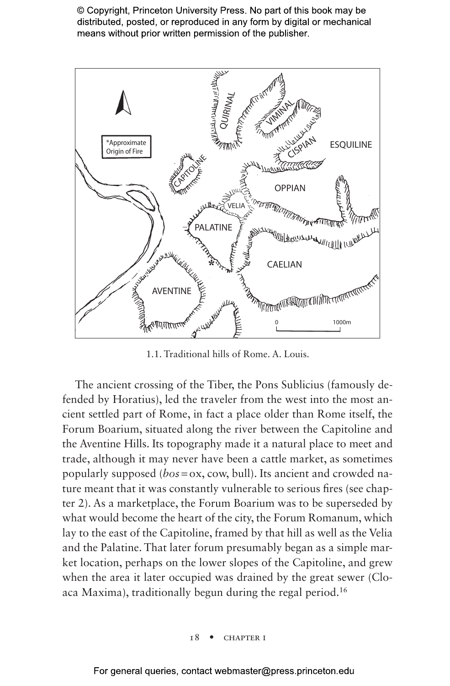

1.1. Traditional hills of Rome. A. Louis.

The ancient crossing of the Tiber, the Pons Sublicius (famously defended by Horatius), led the traveler from the west into the most ancient settled part of Rome, in fact a place older than Rome itself, the Forum Boarium, situated along the river between the Capitoline and the Aventine Hills. Its topography made it a natural place to meet and trade, although it may never have been a cattle market, as sometimes popularly supposed (*bos* = ox, cow, bull). Its ancient and crowded nature meant that it was constantly vulnerable to serious fires (see chapter 2). As a marketplace, the Forum Boarium was to be superseded by what would become the heart of the city, the Forum Romanum, which lay to the east of the Capitoline, framed by that hill as well as the Velia and the Palatine. That later forum presumably began as a simple market location, perhaps on the lower slopes of the Capitoline, and grew when the area it later occupied was drained by the great sewer (Cloaca Maxima), traditionally begun during the regal period.16

#### 18 • chapter I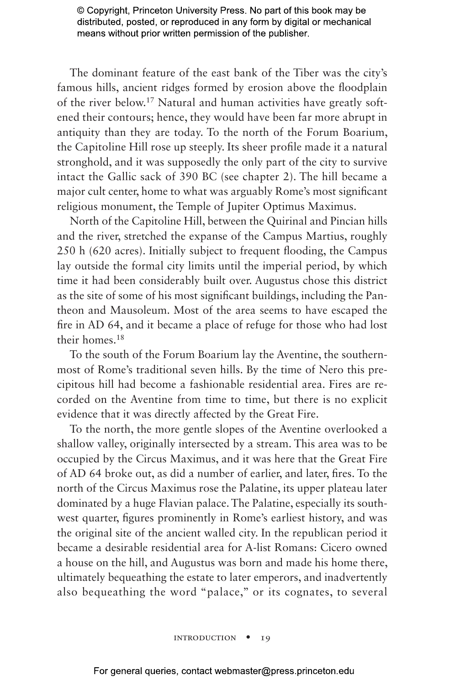The dominant feature of the east bank of the Tiber was the city's famous hills, ancient ridges formed by erosion above the floodplain of the river below.17 Natural and human activities have greatly softened their contours; hence, they would have been far more abrupt in antiquity than they are today. To the north of the Forum Boarium, the Capitoline Hill rose up steeply. Its sheer profile made it a natural stronghold, and it was supposedly the only part of the city to survive intact the Gallic sack of 390 BC (see chapter 2). The hill became a major cult center, home to what was arguably Rome's most significant religious monument, the Temple of Jupiter Optimus Maximus.

North of the Capitoline Hill, between the Quirinal and Pincian hills and the river, stretched the expanse of the Campus Martius, roughly 250 h (620 acres). Initially subject to frequent flooding, the Campus lay outside the formal city limits until the imperial period, by which time it had been considerably built over. Augustus chose this district as the site of some of his most significant buildings, including the Pantheon and Mausoleum. Most of the area seems to have escaped the fire in AD 64, and it became a place of refuge for those who had lost their homes.18

To the south of the Forum Boarium lay the Aventine, the southernmost of Rome's traditional seven hills. By the time of Nero this precipitous hill had become a fashionable residential area. Fires are recorded on the Aventine from time to time, but there is no explicit evidence that it was directly affected by the Great Fire.

To the north, the more gentle slopes of the Aventine overlooked a shallow valley, originally intersected by a stream. This area was to be occupied by the Circus Maximus, and it was here that the Great Fire of AD 64 broke out, as did a number of earlier, and later, fires. To the north of the Circus Maximus rose the Palatine, its upper plateau later dominated by a huge Flavian palace. The Palatine, especially its southwest quarter, figures prominently in Rome's earliest history, and was the original site of the ancient walled city. In the republican period it became a desirable residential area for A-list Romans: Cicero owned a house on the hill, and Augustus was born and made his home there, ultimately bequeathing the estate to later emperors, and inadvertently also bequeathing the word "palace," or its cognates, to several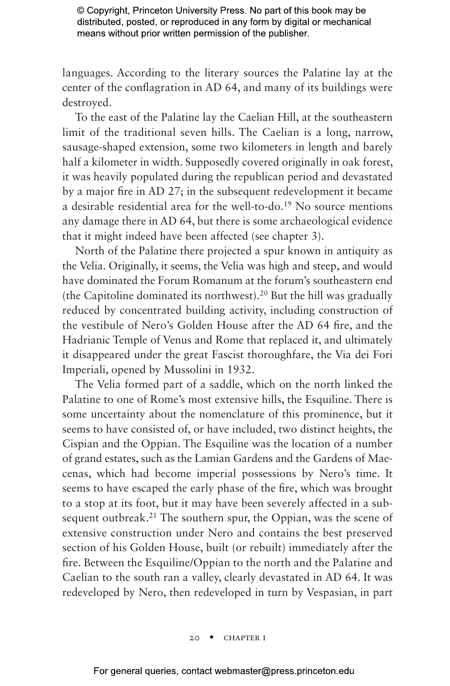languages. According to the literary sources the Palatine lay at the center of the conflagration in AD 64, and many of its buildings were destroyed.

To the east of the Palatine lay the Caelian Hill, at the southeastern limit of the traditional seven hills. The Caelian is a long, narrow, sausage-shaped extension, some two kilometers in length and barely half a kilometer in width. Supposedly covered originally in oak forest, it was heavily populated during the republican period and devastated by a major fire in AD 27; in the subsequent redevelopment it became a desirable residential area for the well-to-do.19 No source mentions any damage there in AD 64, but there is some archaeological evidence that it might indeed have been affected (see chapter 3).

North of the Palatine there projected a spur known in antiquity as the Velia. Originally, it seems, the Velia was high and steep, and would have dominated the Forum Romanum at the forum's southeastern end (the Capitoline dominated its northwest).<sup>20</sup> But the hill was gradually reduced by concentrated building activity, including construction of the vestibule of Nero's Golden House after the AD 64 fire, and the Hadrianic Temple of Venus and Rome that replaced it, and ultimately it disappeared under the great Fascist thoroughfare, the Via dei Fori Imperiali, opened by Mussolini in 1932.

The Velia formed part of a saddle, which on the north linked the Palatine to one of Rome's most extensive hills, the Esquiline. There is some uncertainty about the nomenclature of this prominence, but it seems to have consisted of, or have included, two distinct heights, the Cispian and the Oppian. The Esquiline was the location of a number of grand estates, such as the Lamian Gardens and the Gardens of Maecenas, which had become imperial possessions by Nero's time. It seems to have escaped the early phase of the fire, which was brought to a stop at its foot, but it may have been severely affected in a subsequent outbreak.<sup>21</sup> The southern spur, the Oppian, was the scene of extensive construction under Nero and contains the best preserved section of his Golden House, built (or rebuilt) immediately after the fire. Between the Esquiline/Oppian to the north and the Palatine and Caelian to the south ran a valley, clearly devastated in AD 64. It was redeveloped by Nero, then redeveloped in turn by Vespasian, in part

20 • chapter I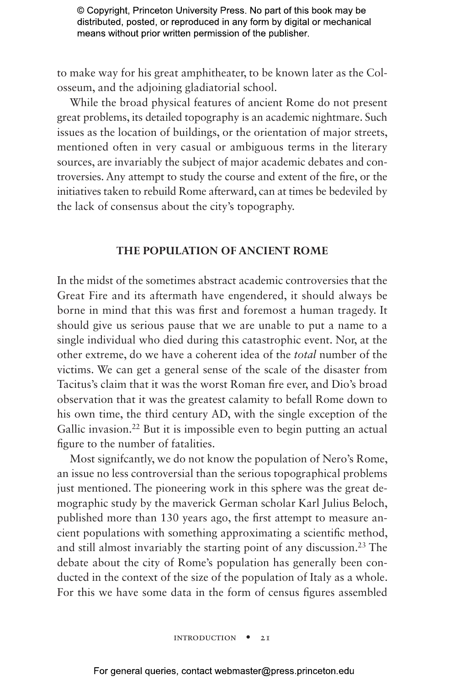to make way for his great amphitheater, to be known later as the Colosseum, and the adjoining gladiatorial school.

While the broad physical features of ancient Rome do not present great problems, its detailed topography is an academic nightmare. Such issues as the location of buildings, or the orientation of major streets, mentioned often in very casual or ambiguous terms in the literary sources, are invariably the subject of major academic debates and controversies. Any attempt to study the course and extent of the fire, or the initiatives taken to rebuild Rome afterward, can at times be bedeviled by the lack of consensus about the city's topography.

## **THE POPULATION OF ANCIENT ROME**

In the midst of the sometimes abstract academic controversies that the Great Fire and its aftermath have engendered, it should always be borne in mind that this was first and foremost a human tragedy. It should give us serious pause that we are unable to put a name to a single individual who died during this catastrophic event. Nor, at the other extreme, do we have a coherent idea of the *total* number of the victims. We can get a general sense of the scale of the disaster from Tacitus's claim that it was the worst Roman fire ever, and Dio's broad observation that it was the greatest calamity to befall Rome down to his own time, the third century AD, with the single exception of the Gallic invasion.<sup>22</sup> But it is impossible even to begin putting an actual figure to the number of fatalities.

Most signifcantly, we do not know the population of Nero's Rome, an issue no less controversial than the serious topographical problems just mentioned. The pioneering work in this sphere was the great demographic study by the maverick German scholar Karl Julius Beloch, published more than 130 years ago, the first attempt to measure ancient populations with something approximating a scientific method, and still almost invariably the starting point of any discussion.23 The debate about the city of Rome's population has generally been conducted in the context of the size of the population of Italy as a whole. For this we have some data in the form of census figures assembled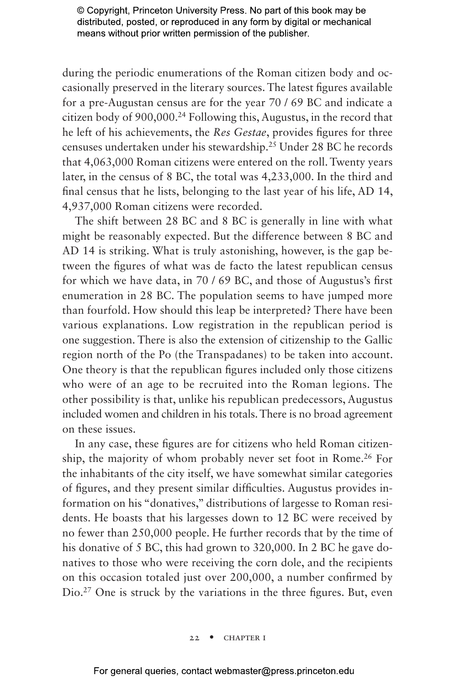during the periodic enumerations of the Roman citizen body and occasionally preserved in the literary sources. The latest figures available for a pre-Augustan census are for the year 70 / 69 BC and indicate a citizen body of 900,000.24 Following this, Augustus, in the record that he left of his achievements, the *Res Gestae*, provides figures for three censuses undertaken under his stewardship.25 Under 28 BC he records that 4,063,000 Roman citizens were entered on the roll. Twenty years later, in the census of 8 BC, the total was 4,233,000. In the third and final census that he lists, belonging to the last year of his life, AD 14, 4,937,000 Roman citizens were recorded.

The shift between 28 BC and 8 BC is generally in line with what might be reasonably expected. But the difference between 8 BC and AD 14 is striking. What is truly astonishing, however, is the gap between the figures of what was de facto the latest republican census for which we have data, in 70 / 69 BC, and those of Augustus's first enumeration in 28 BC. The population seems to have jumped more than fourfold. How should this leap be interpreted? There have been various explanations. Low registration in the republican period is one suggestion. There is also the extension of citizenship to the Gallic region north of the Po (the Transpadanes) to be taken into account. One theory is that the republican figures included only those citizens who were of an age to be recruited into the Roman legions. The other possibility is that, unlike his republican predecessors, Augustus included women and children in his totals. There is no broad agreement on these issues.

In any case, these figures are for citizens who held Roman citizenship, the majority of whom probably never set foot in Rome.26 For the inhabitants of the city itself, we have somewhat similar categories of figures, and they present similar difficulties. Augustus provides information on his "donatives," distributions of largesse to Roman residents. He boasts that his largesses down to 12 BC were received by no fewer than 250,000 people. He further records that by the time of his donative of 5 BC, this had grown to 320,000. In 2 BC he gave donatives to those who were receiving the corn dole, and the recipients on this occasion totaled just over 200,000, a number confirmed by Dio.27 One is struck by the variations in the three figures. But, even

22 • CHAPTER I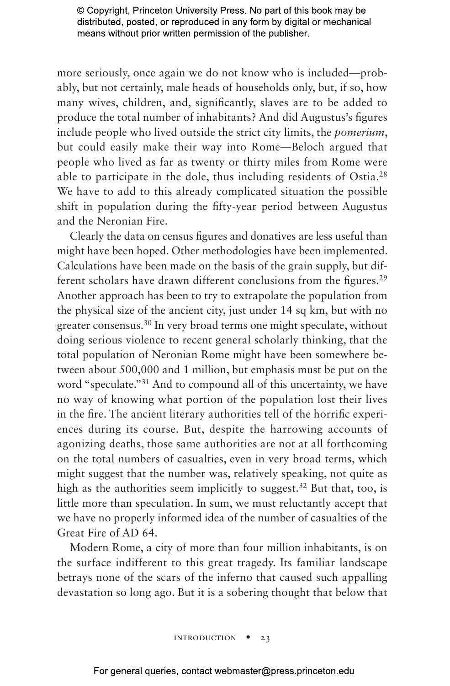more seriously, once again we do not know who is included—probably, but not certainly, male heads of households only, but, if so, how many wives, children, and, significantly, slaves are to be added to produce the total number of inhabitants? And did Augustus's figures include people who lived outside the strict city limits, the *pomerium*, but could easily make their way into Rome—Beloch argued that people who lived as far as twenty or thirty miles from Rome were able to participate in the dole, thus including residents of Ostia.28 We have to add to this already complicated situation the possible shift in population during the fifty-year period between Augustus and the Neronian Fire.

Clearly the data on census figures and donatives are less useful than might have been hoped. Other methodologies have been implemented. Calculations have been made on the basis of the grain supply, but different scholars have drawn different conclusions from the figures.<sup>29</sup> Another approach has been to try to extrapolate the population from the physical size of the ancient city, just under 14 sq km, but with no greater consensus.30 In very broad terms one might speculate, without doing serious violence to recent general scholarly thinking, that the total population of Neronian Rome might have been somewhere between about 500,000 and 1 million, but emphasis must be put on the word "speculate."<sup>31</sup> And to compound all of this uncertainty, we have no way of knowing what portion of the population lost their lives in the fire. The ancient literary authorities tell of the horrific experiences during its course. But, despite the harrowing accounts of agonizing deaths, those same authorities are not at all forthcoming on the total numbers of casualties, even in very broad terms, which might suggest that the number was, relatively speaking, not quite as high as the authorities seem implicitly to suggest.<sup>32</sup> But that, too, is little more than speculation. In sum, we must reluctantly accept that we have no properly informed idea of the number of casualties of the Great Fire of AD 64.

Modern Rome, a city of more than four million inhabitants, is on the surface indifferent to this great tragedy. Its familiar landscape betrays none of the scars of the inferno that caused such appalling devastation so long ago. But it is a sobering thought that below that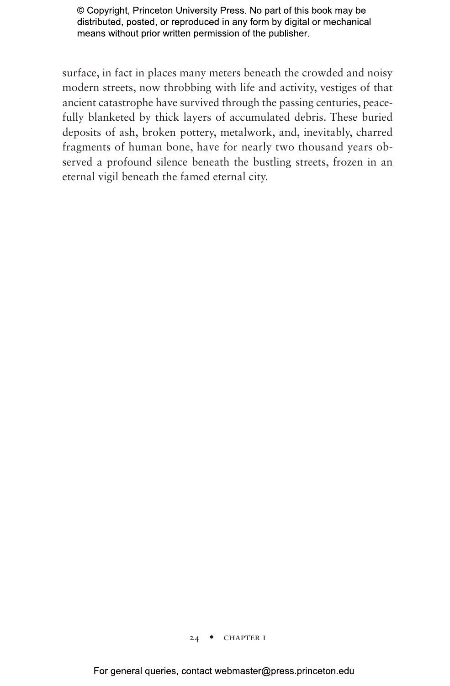surface, in fact in places many meters beneath the crowded and noisy modern streets, now throbbing with life and activity, vestiges of that ancient catastrophe have survived through the passing centuries, peacefully blanketed by thick layers of accumulated debris. These buried deposits of ash, broken pottery, metalwork, and, inevitably, charred fragments of human bone, have for nearly two thousand years observed a profound silence beneath the bustling streets, frozen in an eternal vigil beneath the famed eternal city.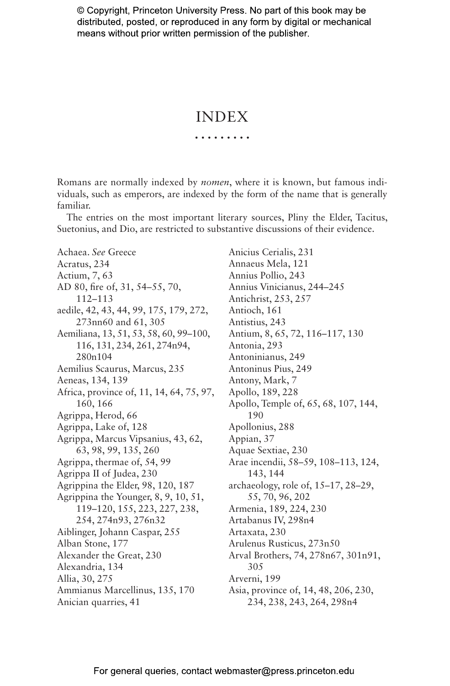# INDEX

. . . . . . . .

Romans are normally indexed by *nomen*, where it is known, but famous individuals, such as emperors, are indexed by the form of the name that is generally familiar.

The entries on the most important literary sources, Pliny the Elder, Tacitus, Suetonius, and Dio, are restricted to substantive discussions of their evidence.

Achaea. *See* Greece Acratus, 234 Actium, 7, 63 AD 80, fire of, 31, 54–55, 70, 112–113 aedile, 42, 43, 44, 99, 175, 179, 272, 273nn60 and 61, 305 Aemiliana, 13, 51, 53, 58, 60, 99–100, 116, 131, 234, 261, 274n94, 280n104 Aemilius Scaurus, Marcus, 235 Aeneas, 134, 139 Africa, province of, 11, 14, 64, 75, 97, 160, 166 Agrippa, Herod, 66 Agrippa, Lake of, 128 Agrippa, Marcus Vipsanius, 43, 62, 63, 98, 99, 135, 260 Agrippa, thermae of, 54, 99 Agrippa II of Judea, 230 Agrippina the Elder, 98, 120, 187 Agrippina the Younger, 8, 9, 10, 51, 119–120, 155, 223, 227, 238, 254, 274n93, 276n32 Aiblinger, Johann Caspar, 255 Alban Stone, 177 Alexander the Great, 230 Alexandria, 134 Allia, 30, 275 Ammianus Marcellinus, 135, 170 Anician quarries, 41

Anicius Cerialis, 231 Annaeus Mela, 121 Annius Pollio, 243 Annius Vinicianus, 244–245 Antichrist, 253, 257 Antioch, 161 Antistius, 243 Antium, 8, 65, 72, 116–117, 130 Antonia, 293 Antoninianus, 249 Antoninus Pius, 249 Antony, Mark, 7 Apollo, 189, 228 Apollo, Temple of, 65, 68, 107, 144, 190 Apollonius, 288 Appian, 37 Aquae Sextiae, 230 Arae incendii, 58–59, 108–113, 124, 143, 144 archaeology, role of, 15–17, 28–29, 55, 70, 96, 202 Armenia, 189, 224, 230 Artabanus IV, 298n4 Artaxata, 230 Arulenus Rusticus, 273n50 Arval Brothers, 74, 278n67, 301n91, 305 Arverni, 199 Asia, province of, 14, 48, 206, 230, 234, 238, 243, 264, 298n4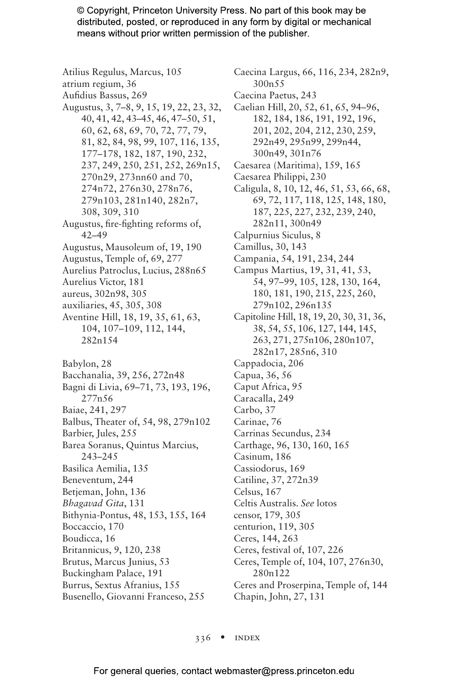Atilius Regulus, Marcus, 105 atrium regium, 36 Aufidius Bassus, 269 Augustus, 3, 7–8, 9, 15, 19, 22, 23, 32, 40, 41, 42, 43–45, 46, 47–50, 51, 60, 62, 68, 69, 70, 72, 77, 79, 81, 82, 84, 98, 99, 107, 116, 135, 177–178, 182, 187, 190, 232, 237, 249, 250, 251, 252, 269n15, 270n29, 273nn60 and 70, 274n72, 276n30, 278n76, 279n103, 281n140, 282n7, 308, 309, 310 Augustus, fire-fighting reforms of, 42–49 Augustus, Mausoleum of, 19, 190 Augustus, Temple of, 69, 277 Aurelius Patroclus, Lucius, 288n65 Aurelius Victor, 181 aureus, 302n98, 305 auxiliaries, 45, 305, 308 Aventine Hill, 18, 19, 35, 61, 63, 104, 107–109, 112, 144, 282n154 Babylon, 28 Bacchanalia, 39, 256, 272n48 Bagni di Livia, 69–71, 73, 193, 196, 277n56 Baiae, 241, 297 Balbus, Theater of, 54, 98, 279n102 Barbier, Jules, 255 Barea Soranus, Quintus Marcius, 243–245 Basilica Aemilia, 135 Beneventum, 244 Betjeman, John, 136 *Bhagavad Gita*, 131 Bithynia-Pontus, 48, 153, 155, 164 Boccaccio, 170 Boudicca, 16 Britannicus, 9, 120, 238 Brutus, Marcus Junius, 53 Buckingham Palace, 191 Burrus, Sextus Afranius, 155 Busenello, Giovanni Franceso, 255

Caecina Largus, 66, 116, 234, 282n9, 300n55 Caecina Paetus, 243 Caelian Hill, 20, 52, 61, 65, 94–96, 182, 184, 186, 191, 192, 196, 201, 202, 204, 212, 230, 259, 292n49, 295n99, 299n44, 300n49, 301n76 Caesarea (Maritima), 159, 165 Caesarea Philippi, 230 Caligula, 8, 10, 12, 46, 51, 53, 66, 68, 69, 72, 117, 118, 125, 148, 180, 187, 225, 227, 232, 239, 240, 282n11, 300n49 Calpurnius Siculus, 8 Camillus, 30, 143 Campania, 54, 191, 234, 244 Campus Martius, 19, 31, 41, 53, 54, 97–99, 105, 128, 130, 164, 180, 181, 190, 215, 225, 260, 279n102, 296n135 Capitoline Hill, 18, 19, 20, 30, 31, 36, 38, 54, 55, 106, 127, 144, 145, 263, 271, 275n106, 280n107, 282n17, 285n6, 310 Cappadocia, 206 Capua, 36, 56 Caput Africa, 95 Caracalla, 249 Carbo, 37 Carinae, 76 Carrinas Secundus, 234 Carthage, 96, 130, 160, 165 Casinum, 186 Cassiodorus, 169 Catiline, 37, 272n39 Celsus, 167 Celtis Australis. *See* lotos censor, 179, 305 centurion, 119, 305 Ceres, 144, 263 Ceres, festival of, 107, 226 Ceres, Temple of, 104, 107, 276n30, 280n122 Ceres and Proserpina, Temple of, 144 Chapin, John, 27, 131

336 • Index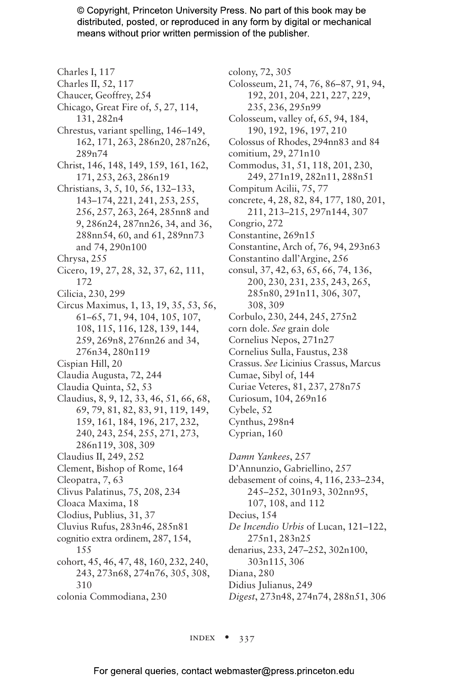Charles I, 117 Charles II, 52, 117 Chaucer, Geoffrey, 254 Chicago, Great Fire of, 5, 27, 114, 131, 282n4 Chrestus, variant spelling, 146–149, 162, 171, 263, 286n20, 287n26, 289n74 Christ, 146, 148, 149, 159, 161, 162, 171, 253, 263, 286n19 Christians, 3, 5, 10, 56, 132–133, 143–174, 221, 241, 253, 255, 256, 257, 263, 264, 285nn8 and 9, 286n24, 287nn26, 34, and 36, 288nn54, 60, and 61, 289nn73 and 74, 290n100 Chrysa, 255 Cicero, 19, 27, 28, 32, 37, 62, 111, 172 Cilicia, 230, 299 Circus Maximus, 1, 13, 19, 35, 53, 56, 61–65, 71, 94, 104, 105, 107, 108, 115, 116, 128, 139, 144, 259, 269n8, 276nn26 and 34, 276n34, 280n119 Cispian Hill, 20 Claudia Augusta, 72, 244 Claudia Quinta, 52, 53 Claudius, 8, 9, 12, 33, 46, 51, 66, 68, 69, 79, 81, 82, 83, 91, 119, 149, 159, 161, 184, 196, 217, 232, 240, 243, 254, 255, 271, 273, 286n119, 308, 309 Claudius II, 249, 252 Clement, Bishop of Rome, 164 Cleopatra, 7, 63 Clivus Palatinus, 75, 208, 234 Cloaca Maxima, 18 Clodius, Publius, 31, 37 Cluvius Rufus, 283n46, 285n81 cognitio extra ordinem, 287, 154, 155 cohort, 45, 46, 47, 48, 160, 232, 240, 243, 273n68, 274n76, 305, 308, 310 colonia Commodiana, 230

colony, 72, 305 Colosseum, 21, 74, 76, 86–87, 91, 94, 192, 201, 204, 221, 227, 229, 235, 236, 295n99 Colosseum, valley of, 65, 94, 184, 190, 192, 196, 197, 210 Colossus of Rhodes, 294nn83 and 84 comitium, 29, 271n10 Commodus, 31, 51, 118, 201, 230, 249, 271n19, 282n11, 288n51 Compitum Acilii, 75, 77 concrete, 4, 28, 82, 84, 177, 180, 201, 211, 213–215, 297n144, 307 Congrio, 272 Constantine, 269n15 Constantine, Arch of, 76, 94, 293n63 Constantino dall'Argine, 256 consul, 37, 42, 63, 65, 66, 74, 136, 200, 230, 231, 235, 243, 265, 285n80, 291n11, 306, 307, 308, 309 Corbulo, 230, 244, 245, 275n2 corn dole. *See* grain dole Cornelius Nepos, 271n27 Cornelius Sulla, Faustus, 238 Crassus. *See* Licinius Crassus, Marcus Cumae, Sibyl of, 144 Curiae Veteres, 81, 237, 278n75 Curiosum, 104, 269n16 Cybele, 52 Cynthus, 298n4 Cyprian, 160 *Damn Yankees*, 257 D'Annunzio, Gabriellino, 257 debasement of coins, 4, 116, 233–234, 245–252, 301n93, 302nn95, 107, 108, and 112 Decius, 154 *De Incendio Urbis* of Lucan, 121–122, 275n1, 283n25 denarius, 233, 247–252, 302n100, 303n115, 306 Diana, 280 Didius Julianus, 249

*Digest*, 273n48, 274n74, 288n51, 306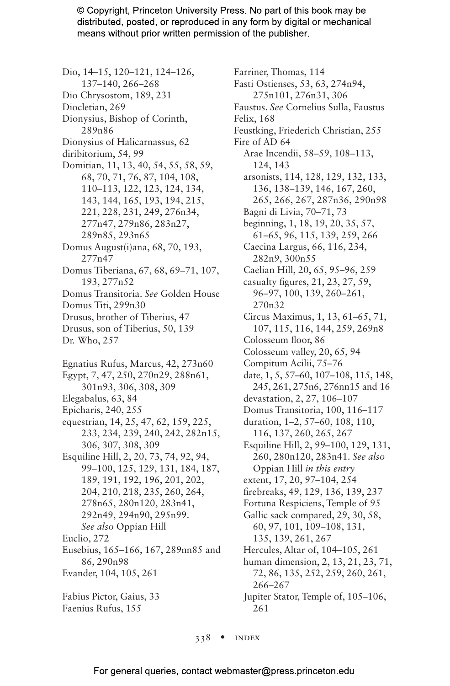Dio, 14–15, 120–121, 124–126, 137–140, 266–268 Dio Chrysostom, 189, 231 Diocletian, 269 Dionysius, Bishop of Corinth, 289n86 Dionysius of Halicarnassus, 62 diribitorium, 54, 99 Domitian, 11, 13, 40, 54, 55, 58, 59, 68, 70, 71, 76, 87, 104, 108, 110–113, 122, 123, 124, 134, 143, 144, 165, 193, 194, 215, 221, 228, 231, 249, 276n34, 277n47, 279n86, 283n27, 289n85, 293n65 Domus August(i)ana, 68, 70, 193, 277n47 Domus Tiberiana, 67, 68, 69–71, 107, 193, 277n52 Domus Transitoria. *See* Golden House Domus Titi, 299n30 Drusus, brother of Tiberius, 47 Drusus, son of Tiberius, 50, 139 Dr. Who, 257 Egnatius Rufus, Marcus, 42, 273n60 Egypt, 7, 47, 250, 270n29, 288n61, 301n93, 306, 308, 309 Elegabalus, 63, 84 Epicharis, 240, 255 equestrian, 14, 25, 47, 62, 159, 225, 233, 234, 239, 240, 242, 282n15, 306, 307, 308, 309 Esquiline Hill, 2, 20, 73, 74, 92, 94, 99–100, 125, 129, 131, 184, 187, 189, 191, 192, 196, 201, 202, 204, 210, 218, 235, 260, 264, 278n65, 280n120, 283n41, 292n49, 294n90, 295n99. *See also* Oppian Hill Euclio, 272 Eusebius, 165–166, 167, 289nn85 and 86, 290n98 Evander, 104, 105, 261 Fabius Pictor, Gaius, 33 Faenius Rufus, 155

Farriner, Thomas, 114 Fasti Ostienses, 53, 63, 274n94, 275n101, 276n31, 306 Faustus. *See* Cornelius Sulla, Faustus Felix, 168 Feustking, Friederich Christian, 255 Fire of AD 64 Arae Incendii, 58–59, 108–113, 124, 143 arsonists, 114, 128, 129, 132, 133, 136, 138–139, 146, 167, 260, 265, 266, 267, 287n36, 290n98 Bagni di Livia, 70–71, 73 beginning, 1, 18, 19, 20, 35, 57, 61–65, 96, 115, 139, 259, 266 Caecina Largus, 66, 116, 234, 282n9, 300n55 Caelian Hill, 20, 65, 95–96, 259 casualty figures, 21, 23, 27, 59, 96–97, 100, 139, 260–261, 270n32 Circus Maximus, 1, 13, 61–65, 71, 107, 115, 116, 144, 259, 269n8 Colosseum floor, 86 Colosseum valley, 20, 65, 94 Compitum Acilii, 75–76 date, 1, 5, 57–60, 107–108, 115, 148, 245, 261, 275n6, 276nn15 and 16 devastation, 2, 27, 106–107 Domus Transitoria, 100, 116–117 duration, 1–2, 57–60, 108, 110, 116, 137, 260, 265, 267 Esquiline Hill, 2, 99–100, 129, 131, 260, 280n120, 283n41. *See also* Oppian Hill *in this entry* extent, 17, 20, 97–104, 254 firebreaks, 49, 129, 136, 139, 237 Fortuna Respiciens, Temple of 95 Gallic sack compared, 29, 30, 58, 60, 97, 101, 109–108, 131, 135, 139, 261, 267 Hercules, Altar of, 104–105, 261 human dimension, 2, 13, 21, 23, 71, 72, 86, 135, 252, 259, 260, 261, 266–267 Jupiter Stator, Temple of, 105–106, 261

338 • Index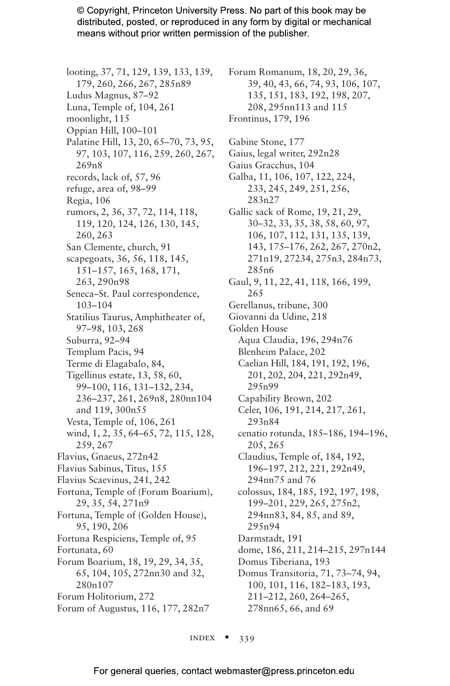looting, 37, 71, 129, 139, 133, 139, 179, 260, 266, 267, 285n89 Ludus Magnus, 87–92 Luna, Temple of, 104, 261 moonlight, 115 Oppian Hill, 100–101 Palatine Hill, 13, 20, 65–70, 73, 95, 97, 103, 107, 116, 259, 260, 267, 269n8 records, lack of, 57, 96 refuge, area of, 98–99 Regia, 106 rumors, 2, 36, 37, 72, 114, 118, 119, 120, 124, 126, 130, 145, 260, 263 San Clemente, church, 91 scapegoats, 36, 56, 118, 145, 151–157, 165, 168, 171, 263, 290n98 Seneca–St. Paul correspondence, 103–104 Statilius Taurus, Amphitheater of, 97–98, 103, 268 Suburra, 92–94 Templum Pacis, 94 Terme di Elagabalo, 84, Tigellinus estate, 13, 58, 60, 99–100, 116, 131–132, 234, 236–237, 261, 269n8, 280nn104 and 119, 300n55 Vesta, Temple of, 106, 261 wind, 1, 2, 35, 64–65, 72, 115, 128, 259, 267 Flavius, Gnaeus, 272n42 Flavius Sabinus, Titus, 155 Flavius Scaevinus, 241, 242 Fortuna, Temple of (Forum Boarium), 29, 35, 54, 271n9 Fortuna, Temple of (Golden House), 95, 190, 206 Fortuna Respiciens, Temple of, 95 Fortunata, 60 Forum Boarium, 18, 19, 29, 34, 35, 65, 104, 105, 272nn30 and 32, 280n107 Forum Holitorium, 272 Forum of Augustus, 116, 177, 282n7

Forum Romanum, 18, 20, 29, 36, 39, 40, 43, 66, 74, 93, 106, 107, 135, 151, 183, 192, 198, 207, 208, 295nn113 and 115 Frontinus, 179, 196 Gabine Stone, 177 Gaius, legal writer, 292n28 Gaius Gracchus, 104 Galba, 11, 106, 107, 122, 224, 233, 245, 249, 251, 256, 283n27 Gallic sack of Rome, 19, 21, 29, 30–32, 33, 35, 38, 58, 60, 97, 106, 107, 112, 131, 135, 139, 143, 175–176, 262, 267, 270n2, 271n19, 27234, 275n3, 284n73, 285n6 Gaul, 9, 11, 22, 41, 118, 166, 199, 265 Gerellanus, tribune, 300 Giovanni da Udine, 218 Golden House Aqua Claudia, 196, 294n76 Blenheim Palace, 202 Caelian Hill, 184, 191, 192, 196, 201, 202, 204, 221, 292n49, 295n99 Capability Brown, 202 Celer, 106, 191, 214, 217, 261, 293n84 cenatio rotunda, 185–186, 194–196, 205, 265 Claudius, Temple of, 184, 192, 196–197, 212, 221, 292n49, 294nn75 and 76 colossus, 184, 185, 192, 197, 198, 199–201, 229, 265, 275n2, 294nn83, 84, 85, and 89, 295n94 Darmstadt, 191 dome, 186, 211, 214–215, 297n144 Domus Tiberiana, 193 Domus Transitoria, 71, 73–74, 94, 100, 101, 116, 182–183, 193, 211–212, 260, 264–265, 278nn65, 66, and 69

index • 339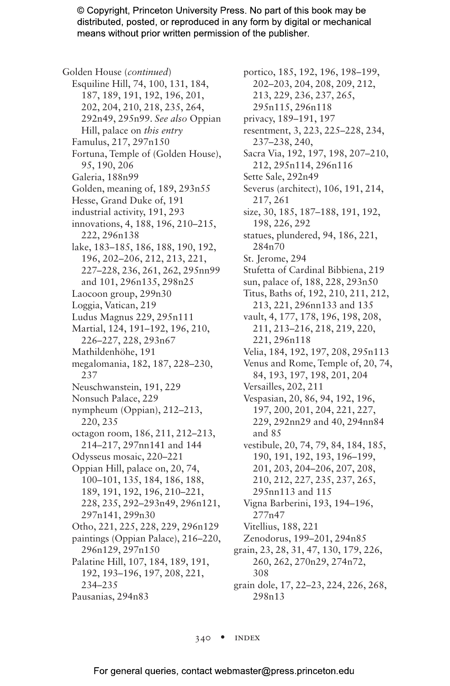Golden House (*continued*)

- Esquiline Hill, 74, 100, 131, 184, 187, 189, 191, 192, 196, 201, 202, 204, 210, 218, 235, 264, 292n49, 295n99. *See also* Oppian Hill, palace on *this entry*
- Famulus, 217, 297n150
- Fortuna, Temple of (Golden House), 95, 190, 206
- Galeria, 188n99
- Golden, meaning of, 189, 293n55
- Hesse, Grand Duke of, 191
- industrial activity, 191, 293
- innovations, 4, 188, 196, 210–215, 222, 296n138
- lake, 183–185, 186, 188, 190, 192, 196, 202–206, 212, 213, 221, 227–228, 236, 261, 262, 295nn99 and 101, 296n135, 298n25
- Laocoon group, 299n30
- Loggia, Vatican, 219
- Ludus Magnus 229, 295n111
- Martial, 124, 191–192, 196, 210, 226–227, 228, 293n67
- Mathildenhöhe, 191
- megalomania, 182, 187, 228–230, 237
- Neuschwanstein, 191, 229
- Nonsuch Palace, 229
- nympheum (Oppian), 212–213, 220, 235
- octagon room, 186, 211, 212–213, 214–217, 297nn141 and 144
- Odysseus mosaic, 220–221
- Oppian Hill, palace on, 20, 74, 100–101, 135, 184, 186, 188, 189, 191, 192, 196, 210–221, 228, 235, 292–293n49, 296n121, 297n141, 299n30
- Otho, 221, 225, 228, 229, 296n129
- paintings (Oppian Palace), 216–220,
- 296n129, 297n150
- Palatine Hill, 107, 184, 189, 191, 192, 193–196, 197, 208, 221, 234–235
- Pausanias, 294n83
- portico, 185, 192, 196, 198–199, 202–203, 204, 208, 209, 212, 213, 229, 236, 237, 265, 295n115, 296n118 privacy, 189–191, 197 resentment, 3, 223, 225–228, 234, 237–238, 240, Sacra Via, 192, 197, 198, 207–210, 212, 295n114, 296n116 Sette Sale, 292n49 Severus (architect), 106, 191, 214, 217, 261 size, 30, 185, 187–188, 191, 192, 198, 226, 292 statues, plundered, 94, 186, 221, 284n70 St. Jerome, 294 Stufetta of Cardinal Bibbiena, 219 sun, palace of, 188, 228, 293n50 Titus, Baths of, 192, 210, 211, 212, 213, 221, 296nn133 and 135 vault, 4, 177, 178, 196, 198, 208, 211, 213–216, 218, 219, 220, 221, 296n118 Velia, 184, 192, 197, 208, 295n113 Venus and Rome, Temple of, 20, 74, 84, 193, 197, 198, 201, 204 Versailles, 202, 211 Vespasian, 20, 86, 94, 192, 196, 197, 200, 201, 204, 221, 227, 229, 292nn29 and 40, 294nn84 and 85 vestibule, 20, 74, 79, 84, 184, 185, 190, 191, 192, 193, 196–199, 201, 203, 204–206, 207, 208, 210, 212, 227, 235, 237, 265, 295nn113 and 115 Vigna Barberini, 193, 194–196, 277n47 Vitellius, 188, 221 Zenodorus, 199–201, 294n85 grain, 23, 28, 31, 47, 130, 179, 226, 260, 262, 270n29, 274n72, 308
- grain dole, 17, 22–23, 224, 226, 268, 298n13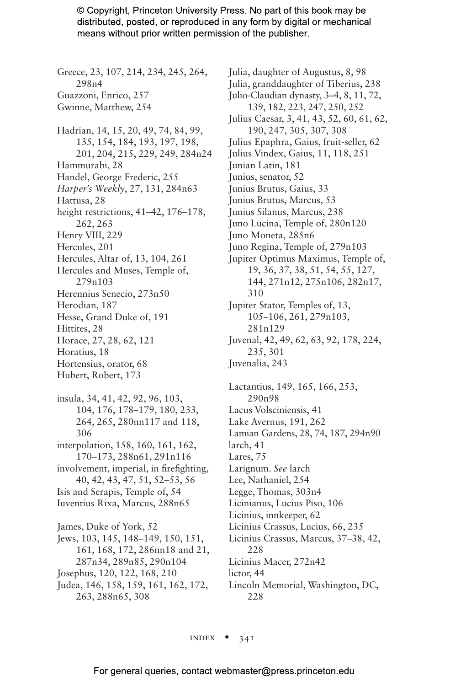Greece, 23, 107, 214, 234, 245, 264, 298n4 Guazzoni, Enrico, 257 Gwinne, Matthew, 254 Hadrian, 14, 15, 20, 49, 74, 84, 99, 135, 154, 184, 193, 197, 198, 201, 204, 215, 229, 249, 284n24 Hammurabi, 28 Handel, George Frederic, 255 *Harper's Weekly*, 27, 131, 284n63 Hattusa, 28 height restrictions, 41–42, 176–178, 262, 263 Henry VIII, 229 Hercules, 201 Hercules, Altar of, 13, 104, 261 Hercules and Muses, Temple of, 279n103 Herennius Senecio, 273n50 Herodian, 187 Hesse, Grand Duke of, 191 Hittites, 28 Horace, 27, 28, 62, 121 Horatius, 18 Hortensius, orator, 68 Hubert, Robert, 173 insula, 34, 41, 42, 92, 96, 103, 104, 176, 178–179, 180, 233, 264, 265, 280nn117 and 118, 306 interpolation, 158, 160, 161, 162, 170–173, 288n61, 291n116 involvement, imperial, in firefighting, 40, 42, 43, 47, 51, 52–53, 56 Isis and Serapis, Temple of, 54 Iuventius Rixa, Marcus, 288n65

James, Duke of York, 52 Jews, 103, 145, 148–149, 150, 151, 161, 168, 172, 286nn18 and 21, 287n34, 289n85, 290n104 Josephus, 120, 122, 168, 210 Judea, 146, 158, 159, 161, 162, 172, 263, 288n65, 308

Julia, daughter of Augustus, 8, 98 Julia, granddaughter of Tiberius, 238 Julio-Claudian dynasty, 3–4, 8, 11, 72, 139, 182, 223, 247, 250, 252 Julius Caesar, 3, 41, 43, 52, 60, 61, 62, 190, 247, 305, 307, 308 Julius Epaphra, Gaius, fruit-seller, 62 Julius Vindex, Gaius, 11, 118, 251 Junian Latin, 181 Junius, senator, 52 Junius Brutus, Gaius, 33 Junius Brutus, Marcus, 53 Junius Silanus, Marcus, 238 Juno Lucina, Temple of, 280n120 Juno Moneta, 285n6 Juno Regina, Temple of, 279n103 Jupiter Optimus Maximus, Temple of, 19, 36, 37, 38, 51, 54, 55, 127, 144, 271n12, 275n106, 282n17, 310 Jupiter Stator, Temples of, 13, 105–106, 261, 279n103, 281n129 Juvenal, 42, 49, 62, 63, 92, 178, 224, 235, 301 Juvenalia, 243 Lactantius, 149, 165, 166, 253, 290n98 Lacus Volsciniensis, 41 Lake Avernus, 191, 262 Lamian Gardens, 28, 74, 187, 294n90 larch, 41 Lares, 75 Larignum. *See* larch Lee, Nathaniel, 254 Legge, Thomas, 303n4 Licinianus, Lucius Piso, 106 Licinius, innkeeper, 62 Licinius Crassus, Lucius, 66, 235 Licinius Crassus, Marcus, 37–38, 42, 228 Licinius Macer, 272n42 lictor, 44 Lincoln Memorial, Washington, DC, 228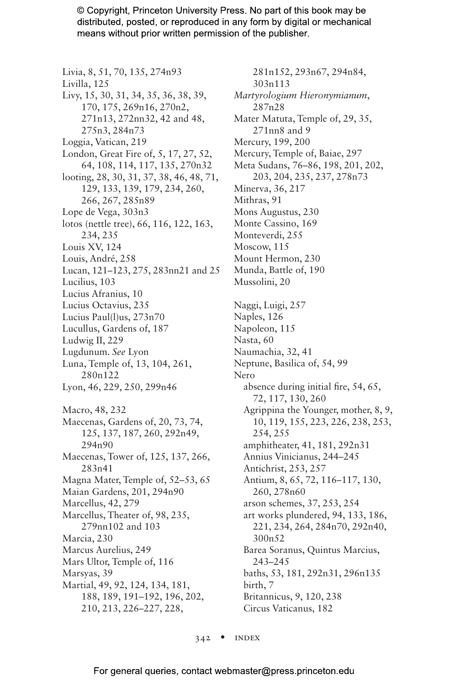Livia, 8, 51, 70, 135, 274n93 Livilla, 125 Livy, 15, 30, 31, 34, 35, 36, 38, 39, 170, 175, 269n16, 270n2, 271n13, 272nn32, 42 and 48, 275n3, 284n73 Loggia, Vatican, 219 London, Great Fire of, 5, 17, 27, 52, 64, 108, 114, 117, 135, 270n32 looting, 28, 30, 31, 37, 38, 46, 48, 71, 129, 133, 139, 179, 234, 260, 266, 267, 285n89 Lope de Vega, 303n3 lotos (nettle tree), 66, 116, 122, 163, 234, 235 Louis XV, 124 Louis, André, 258 Lucan, 121–123, 275, 283nn21 and 25 Lucilius, 103 Lucius Afranius, 10 Lucius Octavius, 235 Lucius Paul(l)us, 273n70 Lucullus, Gardens of, 187 Ludwig II, 229 Lugdunum. *See* Lyon Luna, Temple of, 13, 104, 261, 280n122 Lyon, 46, 229, 250, 299n46 Macro, 48, 232 Maecenas, Gardens of, 20, 73, 74, 125, 137, 187, 260, 292n49, 294n90 Maecenas, Tower of, 125, 137, 266, 283n41 Magna Mater, Temple of, 52–53, 65 Maian Gardens, 201, 294n90 Marcellus, 42, 279 Marcellus, Theater of, 98, 235, 279nn102 and 103 Marcia, 230 Marcus Aurelius, 249 Mars Ultor, Temple of, 116 Marsyas, 39 Martial, 49, 92, 124, 134, 181, 188, 189, 191–192, 196, 202, 210, 213, 226–227, 228,

281n152, 293n67, 294n84, 303n113 *Martyrologium Hieronymianum*, 287n28 Mater Matuta, Temple of, 29, 35, 271nn8 and 9 Mercury, 199, 200 Mercury, Temple of, Baiae, 297 Meta Sudans, 76–86, 198, 201, 202, 203, 204, 235, 237, 278n73 Minerva, 36, 217 Mithras, 91 Mons Augustus, 230 Monte Cassino, 169 Monteverdi, 255 Moscow, 115 Mount Hermon, 230 Munda, Battle of, 190 Mussolini, 20 Naggi, Luigi, 257 Naples, 126 Napoleon, 115 Nasta, 60 Naumachia, 32, 41 Neptune, Basilica of, 54, 99 Nero absence during initial fire, 54, 65, 72, 117, 130, 260 Agrippina the Younger, mother, 8, 9, 10, 119, 155, 223, 226, 238, 253, 254, 255 amphitheater, 41, 181, 292n31 Annius Vinicianus, 244–245 Antichrist, 253, 257 Antium, 8, 65, 72, 116–117, 130, 260, 278n60 arson schemes, 37, 253, 254 art works plundered, 94, 133, 186, 221, 234, 264, 284n70, 292n40, 300n52 Barea Soranus, Quintus Marcius, 243–245 baths, 53, 181, 292n31, 296n135 birth, 7 Britannicus, 9, 120, 238 Circus Vaticanus, 182

342 • Index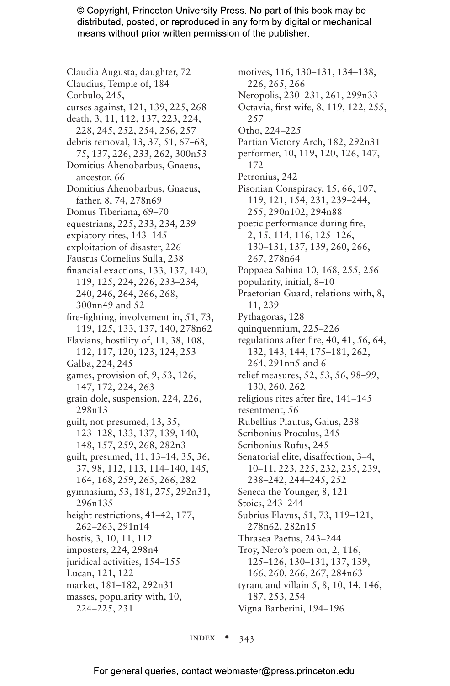Claudia Augusta, daughter, 72 Claudius, Temple of, 184 Corbulo, 245, curses against, 121, 139, 225, 268 death, 3, 11, 112, 137, 223, 224, 228, 245, 252, 254, 256, 257 debris removal, 13, 37, 51, 67–68, 75, 137, 226, 233, 262, 300n53 Domitius Ahenobarbus, Gnaeus, ancestor, 66 Domitius Ahenobarbus, Gnaeus, father, 8, 74, 278n69 Domus Tiberiana, 69–70 equestrians, 225, 233, 234, 239 expiatory rites, 143–145 exploitation of disaster, 226 Faustus Cornelius Sulla, 238 financial exactions, 133, 137, 140, 119, 125, 224, 226, 233–234, 240, 246, 264, 266, 268, 300nn49 and 52 fire-fighting, involvement in, 51, 73, 119, 125, 133, 137, 140, 278n62 Flavians, hostility of, 11, 38, 108, 112, 117, 120, 123, 124, 253 Galba, 224, 245 games, provision of, 9, 53, 126, 147, 172, 224, 263 grain dole, suspension, 224, 226, 298n13 guilt, not presumed, 13, 35, 123–128, 133, 137, 139, 140, 148, 157, 259, 268, 282n3 guilt, presumed, 11, 13–14, 35, 36, 37, 98, 112, 113, 114–140, 145, 164, 168, 259, 265, 266, 282 gymnasium, 53, 181, 275, 292n31, 296n135 height restrictions, 41–42, 177, 262–263, 291n14 hostis, 3, 10, 11, 112 imposters, 224, 298n4 juridical activities, 154–155 Lucan, 121, 122 market, 181–182, 292n31 masses, popularity with, 10, 224–225, 231

motives, 116, 130–131, 134–138, 226, 265, 266 Neropolis, 230–231, 261, 299n33 Octavia, first wife, 8, 119, 122, 255, 257 Otho, 224–225 Partian Victory Arch, 182, 292n31 performer, 10, 119, 120, 126, 147, 172 Petronius, 242 Pisonian Conspiracy, 15, 66, 107, 119, 121, 154, 231, 239–244, 255, 290n102, 294n88 poetic performance during fire, 2, 15, 114, 116, 125–126, 130–131, 137, 139, 260, 266, 267, 278n64 Poppaea Sabina 10, 168, 255, 256 popularity, initial, 8–10 Praetorian Guard, relations with, 8, 11, 239 Pythagoras, 128 quinquennium, 225–226 regulations after fire, 40, 41, 56, 64, 132, 143, 144, 175–181, 262, 264, 291nn5 and 6 relief measures, 52, 53, 56, 98–99, 130, 260, 262 religious rites after fire, 141–145 resentment, 56 Rubellius Plautus, Gaius, 238 Scribonius Proculus, 245 Scribonius Rufus, 245 Senatorial elite, disaffection, 3–4, 10–11, 223, 225, 232, 235, 239, 238–242, 244–245, 252 Seneca the Younger, 8, 121 Stoics, 243–244 Subrius Flavus, 51, 73, 119–121, 278n62, 282n15 Thrasea Paetus, 243–244 Troy, Nero's poem on, 2, 116, 125–126, 130–131, 137, 139, 166, 260, 266, 267, 284n63 tyrant and villain 5, 8, 10, 14, 146, 187, 253, 254 Vigna Barberini, 194–196

INDEX  $\bullet$  343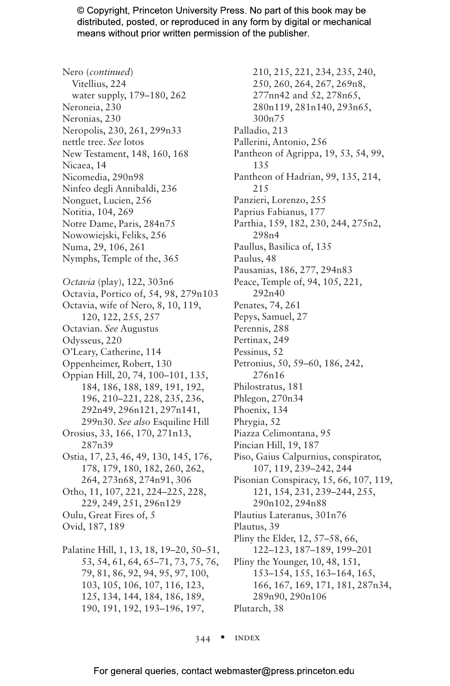Nero (*continued*) Vitellius, 224 water supply, 179–180, 262 Neroneia, 230 Neronias, 230 Neropolis, 230, 261, 299n33 nettle tree. *See* lotos New Testament, 148, 160, 168 Nicaea, 14 Nicomedia, 290n98 Ninfeo degli Annibaldi, 236 Nonguet, Lucien, 256 Notitia, 104, 269 Notre Dame, Paris, 284n75 Nowowiejski, Feliks, 256 Numa, 29, 106, 261 Nymphs, Temple of the, 365 *Octavia* (play), 122, 303n6 Octavia, Portico of, 54, 98, 279n103 Octavia, wife of Nero, 8, 10, 119, 120, 122, 255, 257 Octavian. *See* Augustus Odysseus, 220 O'Leary, Catherine, 114 Oppenheimer, Robert, 130 Oppian Hill, 20, 74, 100–101, 135, 184, 186, 188, 189, 191, 192, 196, 210–221, 228, 235, 236, 292n49, 296n121, 297n141, 299n30. *See also* Esquiline Hill Orosius, 33, 166, 170, 271n13, 287n39 Ostia, 17, 23, 46, 49, 130, 145, 176, 178, 179, 180, 182, 260, 262, 264, 273n68, 274n91, 306 Otho, 11, 107, 221, 224–225, 228, 229, 249, 251, 296n129 Oulu, Great Fires of, 5 Ovid, 187, 189 Palatine Hill, 1, 13, 18, 19–20, 50–51,

53, 54, 61, 64, 65–71, 73, 75, 76, 79, 81, 86, 92, 94, 95, 97, 100, 103, 105, 106, 107, 116, 123, 125, 134, 144, 184, 186, 189, 190, 191, 192, 193–196, 197,

210, 215, 221, 234, 235, 240, 250, 260, 264, 267, 269n8, 277nn42 and 52, 278n65, 280n119, 281n140, 293n65, 300n75 Palladio, 213 Pallerini, Antonio, 256 Pantheon of Agrippa, 19, 53, 54, 99, 135 Pantheon of Hadrian, 99, 135, 214, 215 Panzieri, Lorenzo, 255 Paprius Fabianus, 177 Parthia, 159, 182, 230, 244, 275n2, 298n4 Paullus, Basilica of, 135 Paulus, 48 Pausanias, 186, 277, 294n83 Peace, Temple of, 94, 105, 221, 292n40 Penates, 74, 261 Pepys, Samuel, 27 Perennis, 288 Pertinax, 249 Pessinus, 52 Petronius, 50, 59–60, 186, 242, 276n16 Philostratus, 181 Phlegon, 270n34 Phoenix, 134 Phrygia, 52 Piazza Celimontana, 95 Pincian Hill, 19, 187 Piso, Gaius Calpurnius, conspirator, 107, 119, 239–242, 244 Pisonian Conspiracy, 15, 66, 107, 119, 121, 154, 231, 239–244, 255, 290n102, 294n88 Plautius Lateranus, 301n76 Plautus, 39 Pliny the Elder, 12, 57–58, 66, 122–123, 187–189, 199–201 Pliny the Younger, 10, 48, 151, 153–154, 155, 163–164, 165, 166, 167, 169, 171, 181, 287n34, 289n90, 290n106 Plutarch, 38

344 • Index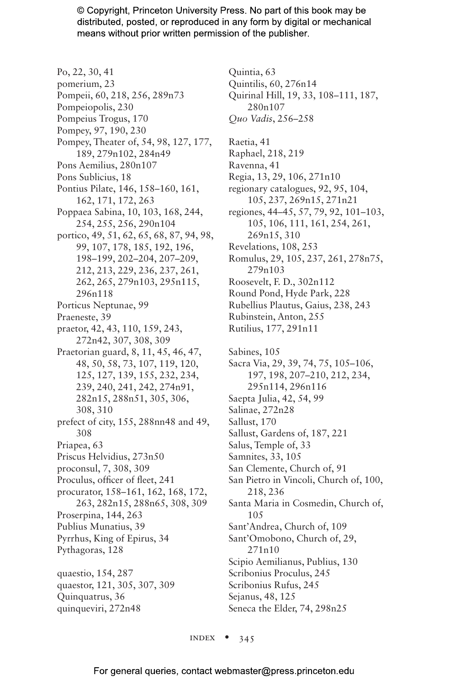Po, 22, 30, 41 pomerium, 23 Pompeii, 60, 218, 256, 289n73 Pompeiopolis, 230 Pompeius Trogus, 170 Pompey, 97, 190, 230 Pompey, Theater of, 54, 98, 127, 177, 189, 279n102, 284n49 Pons Aemilius, 280n107 Pons Sublicius, 18 Pontius Pilate, 146, 158–160, 161, 162, 171, 172, 263 Poppaea Sabina, 10, 103, 168, 244, 254, 255, 256, 290n104 portico, 49, 51, 62, 65, 68, 87, 94, 98, 99, 107, 178, 185, 192, 196, 198–199, 202–204, 207–209, 212, 213, 229, 236, 237, 261, 262, 265, 279n103, 295n115, 296n118 Porticus Neptunae, 99 Praeneste, 39 praetor, 42, 43, 110, 159, 243, 272n42, 307, 308, 309 Praetorian guard, 8, 11, 45, 46, 47, 48, 50, 58, 73, 107, 119, 120, 125, 127, 139, 155, 232, 234, 239, 240, 241, 242, 274n91, 282n15, 288n51, 305, 306, 308, 310 prefect of city, 155, 288nn48 and 49, 308 Priapea, 63 Priscus Helvidius, 273n50 proconsul, 7, 308, 309 Proculus, officer of fleet, 241 procurator, 158–161, 162, 168, 172, 263, 282n15, 288n65, 308, 309 Proserpina, 144, 263 Publius Munatius, 39 Pyrrhus, King of Epirus, 34 Pythagoras, 128 quaestio, 154, 287 quaestor, 121, 305, 307, 309 Quinquatrus, 36 quinqueviri, 272n48

Quintia, 63 Quintilis, 60, 276n14 Quirinal Hill, 19, 33, 108–111, 187, 280n107 *Quo Vadis*, 256–258

Raetia, 41 Raphael, 218, 219 Ravenna, 41 Regia, 13, 29, 106, 271n10 regionary catalogues, 92, 95, 104, 105, 237, 269n15, 271n21 regiones, 44–45, 57, 79, 92, 101–103, 105, 106, 111, 161, 254, 261, 269n15, 310 Revelations, 108, 253 Romulus, 29, 105, 237, 261, 278n75, 279n103 Roosevelt, F. D., 302n112 Round Pond, Hyde Park, 228 Rubellius Plautus, Gaius, 238, 243 Rubinstein, Anton, 255 Rutilius, 177, 291n11 Sabines, 105 Sacra Via, 29, 39, 74, 75, 105–106, 197, 198, 207–210, 212, 234, 295n114, 296n116 Saepta Julia, 42, 54, 99 Salinae, 272n28 Sallust, 170 Sallust, Gardens of, 187, 221 Salus, Temple of, 33 Samnites, 33, 105 San Clemente, Church of, 91 San Pietro in Vincoli, Church of, 100, 218, 236 Santa Maria in Cosmedin, Church of, 105 Sant'Andrea, Church of, 109 Sant'Omobono, Church of, 29, 271n10 Scipio Aemilianus, Publius, 130 Scribonius Proculus, 245 Scribonius Rufus, 245 Sejanus, 48, 125 Seneca the Elder, 74, 298n25

INDEX  $\bullet$  345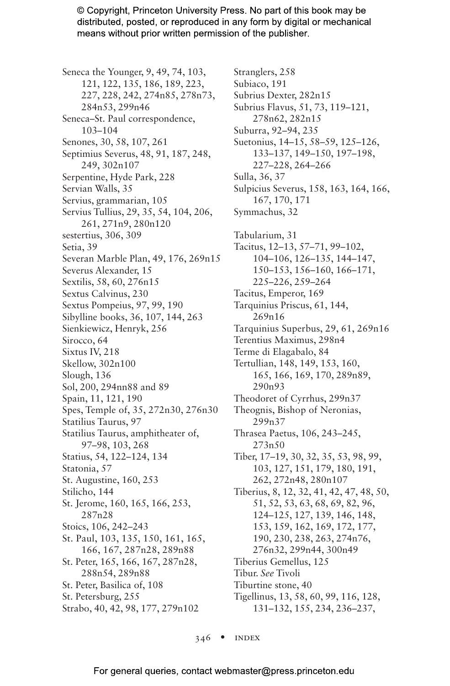Seneca the Younger, 9, 49, 74, 103, 121, 122, 135, 186, 189, 223, 227, 228, 242, 274n85, 278n73, 284n53, 299n46 Seneca–St. Paul correspondence, 103–104 Senones, 30, 58, 107, 261 Septimius Severus, 48, 91, 187, 248, 249, 302n107 Serpentine, Hyde Park, 228 Servian Walls, 35 Servius, grammarian, 105 Servius Tullius, 29, 35, 54, 104, 206, 261, 271n9, 280n120 sestertius, 306, 309 Setia, 39 Severan Marble Plan, 49, 176, 269n15 Severus Alexander, 15 Sextilis, 58, 60, 276n15 Sextus Calvinus, 230 Sextus Pompeius, 97, 99, 190 Sibylline books, 36, 107, 144, 263 Sienkiewicz, Henryk, 256 Sirocco, 64 Sixtus IV, 218 Skellow, 302n100 Slough, 136 Sol, 200, 294nn88 and 89 Spain, 11, 121, 190 Spes, Temple of, 35, 272n30, 276n30 Statilius Taurus, 97 Statilius Taurus, amphitheater of, 97–98, 103, 268 Statius, 54, 122–124, 134 Statonia, 57 St. Augustine, 160, 253 Stilicho, 144 St. Jerome, 160, 165, 166, 253, 287n28 Stoics, 106, 242–243 St. Paul, 103, 135, 150, 161, 165, 166, 167, 287n28, 289n88 St. Peter, 165, 166, 167, 287n28, 288n54, 289n88 St. Peter, Basilica of, 108 St. Petersburg, 255 Strabo, 40, 42, 98, 177, 279n102

Stranglers, 258 Subiaco, 191 Subrius Dexter, 282n15 Subrius Flavus, 51, 73, 119–121, 278n62, 282n15 Suburra, 92–94, 235 Suetonius, 14–15, 58–59, 125–126, 133–137, 149–150, 197–198, 227–228, 264–266 Sulla, 36, 37 Sulpicius Severus, 158, 163, 164, 166, 167, 170, 171 Symmachus, 32 Tabularium, 31 Tacitus, 12–13, 57–71, 99–102, 104–106, 126–135, 144–147, 150–153, 156–160, 166–171, 225–226, 259–264 Tacitus, Emperor, 169 Tarquinius Priscus, 61, 144, 269n16 Tarquinius Superbus, 29, 61, 269n16 Terentius Maximus, 298n4 Terme di Elagabalo, 84 Tertullian, 148, 149, 153, 160, 165, 166, 169, 170, 289n89, 290n93 Theodoret of Cyrrhus, 299n37 Theognis, Bishop of Neronias, 299n37 Thrasea Paetus, 106, 243–245, 273n50 Tiber, 17–19, 30, 32, 35, 53, 98, 99, 103, 127, 151, 179, 180, 191, 262, 272n48, 280n107 Tiberius, 8, 12, 32, 41, 42, 47, 48, 50, 51, 52, 53, 63, 68, 69, 82, 96, 124–125, 127, 139, 146, 148, 153, 159, 162, 169, 172, 177, 190, 230, 238, 263, 274n76, 276n32, 299n44, 300n49 Tiberius Gemellus, 125 Tibur. *See* Tivoli Tiburtine stone, 40 Tigellinus, 13, 58, 60, 99, 116, 128, 131–132, 155, 234, 236–237,

 $346$  • INDEX